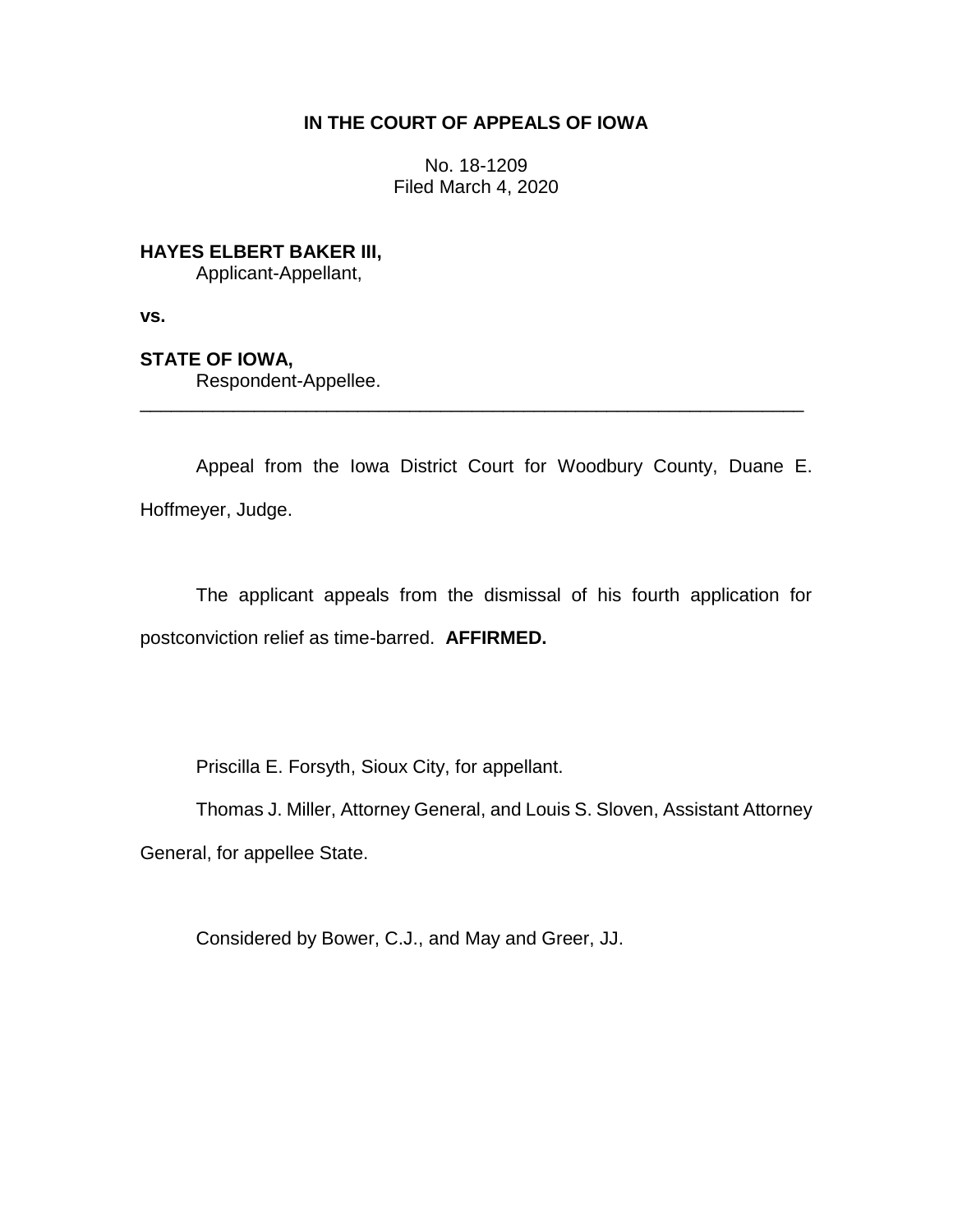# **IN THE COURT OF APPEALS OF IOWA**

No. 18-1209 Filed March 4, 2020

**HAYES ELBERT BAKER III,**

Applicant-Appellant,

**vs.**

**STATE OF IOWA,**

Respondent-Appellee.

Appeal from the Iowa District Court for Woodbury County, Duane E. Hoffmeyer, Judge.

\_\_\_\_\_\_\_\_\_\_\_\_\_\_\_\_\_\_\_\_\_\_\_\_\_\_\_\_\_\_\_\_\_\_\_\_\_\_\_\_\_\_\_\_\_\_\_\_\_\_\_\_\_\_\_\_\_\_\_\_\_\_\_\_

The applicant appeals from the dismissal of his fourth application for postconviction relief as time-barred. **AFFIRMED.**

Priscilla E. Forsyth, Sioux City, for appellant.

Thomas J. Miller, Attorney General, and Louis S. Sloven, Assistant Attorney General, for appellee State.

Considered by Bower, C.J., and May and Greer, JJ.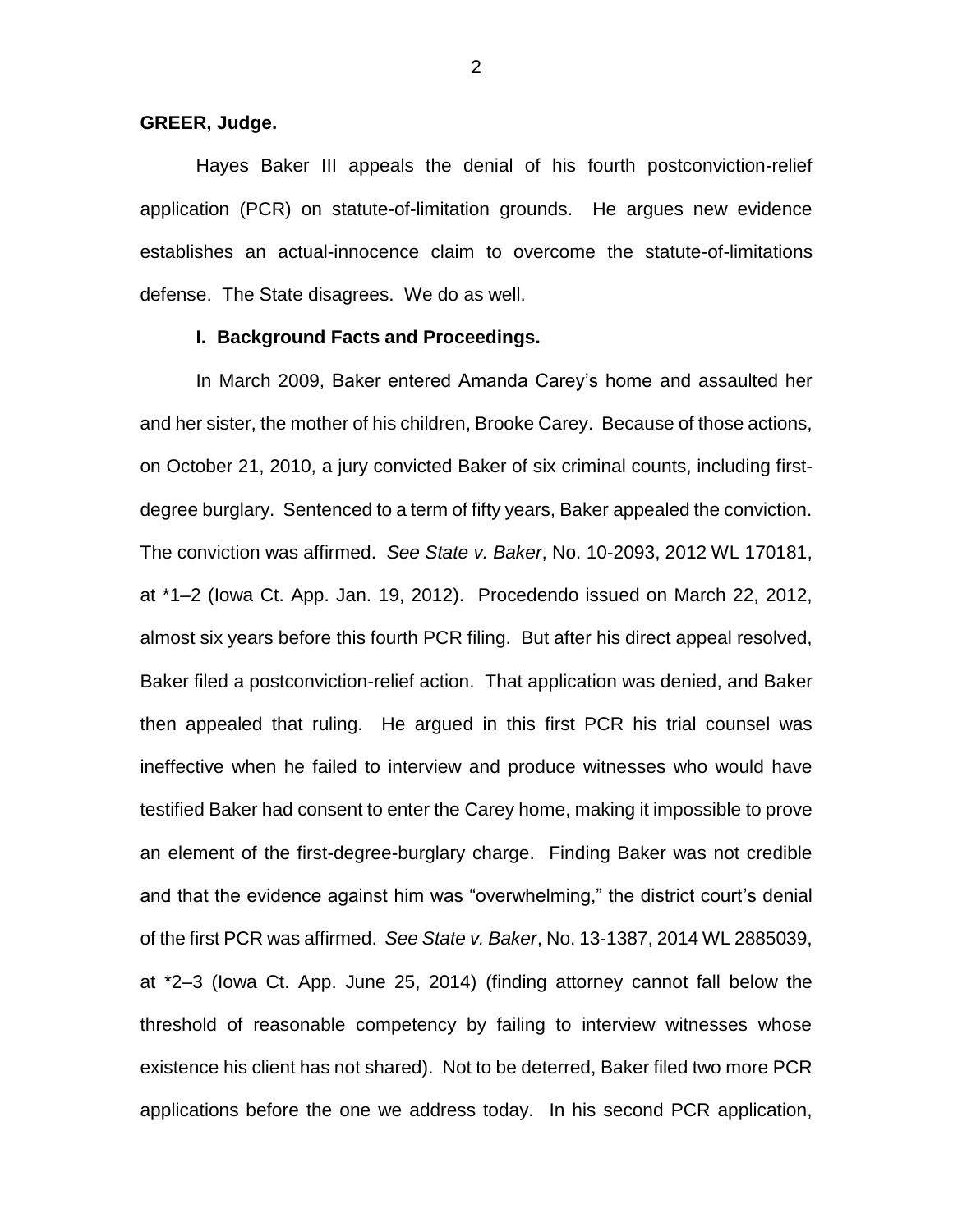#### **GREER, Judge.**

Hayes Baker III appeals the denial of his fourth postconviction-relief application (PCR) on statute-of-limitation grounds. He argues new evidence establishes an actual-innocence claim to overcome the statute-of-limitations defense. The State disagrees. We do as well.

#### **I. Background Facts and Proceedings.**

In March 2009, Baker entered Amanda Carey's home and assaulted her and her sister, the mother of his children, Brooke Carey. Because of those actions, on October 21, 2010, a jury convicted Baker of six criminal counts, including firstdegree burglary. Sentenced to a term of fifty years, Baker appealed the conviction. The conviction was affirmed. *See State v. Baker*, No. 10-2093, 2012 WL 170181, at \*1–2 (Iowa Ct. App. Jan. 19, 2012). Procedendo issued on March 22, 2012, almost six years before this fourth PCR filing. But after his direct appeal resolved, Baker filed a postconviction-relief action. That application was denied, and Baker then appealed that ruling. He argued in this first PCR his trial counsel was ineffective when he failed to interview and produce witnesses who would have testified Baker had consent to enter the Carey home, making it impossible to prove an element of the first-degree-burglary charge. Finding Baker was not credible and that the evidence against him was "overwhelming," the district court's denial of the first PCR was affirmed. *See State v. Baker*, No. 13-1387, 2014 WL 2885039, at \*2–3 (Iowa Ct. App. June 25, 2014) (finding attorney cannot fall below the threshold of reasonable competency by failing to interview witnesses whose existence his client has not shared). Not to be deterred, Baker filed two more PCR applications before the one we address today. In his second PCR application,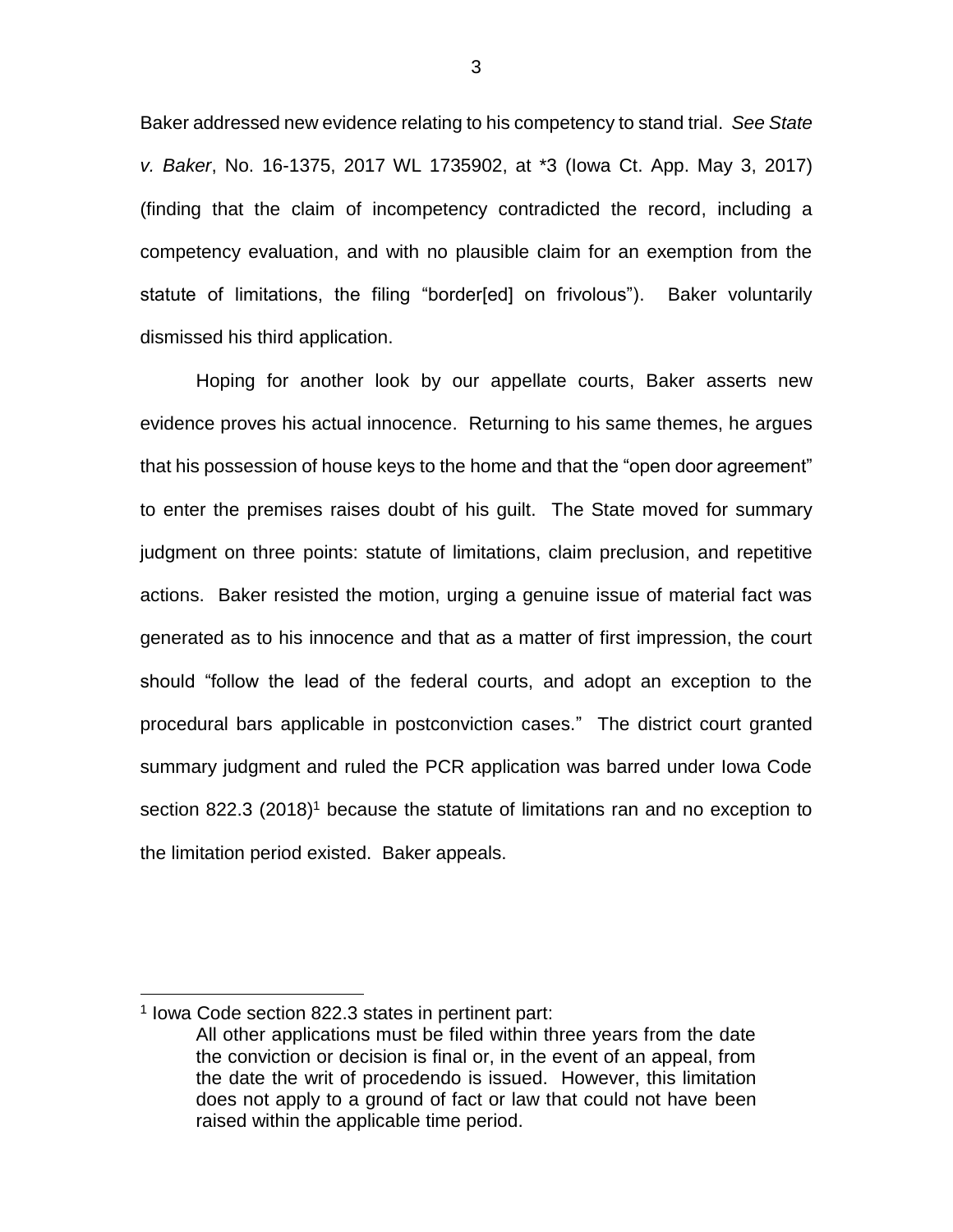Baker addressed new evidence relating to his competency to stand trial. *See State v. Baker*, No. 16-1375, 2017 WL 1735902, at \*3 (Iowa Ct. App. May 3, 2017) (finding that the claim of incompetency contradicted the record, including a competency evaluation, and with no plausible claim for an exemption from the statute of limitations, the filing "border[ed] on frivolous"). Baker voluntarily dismissed his third application.

Hoping for another look by our appellate courts, Baker asserts new evidence proves his actual innocence. Returning to his same themes, he argues that his possession of house keys to the home and that the "open door agreement" to enter the premises raises doubt of his guilt. The State moved for summary judgment on three points: statute of limitations, claim preclusion, and repetitive actions. Baker resisted the motion, urging a genuine issue of material fact was generated as to his innocence and that as a matter of first impression, the court should "follow the lead of the federal courts, and adopt an exception to the procedural bars applicable in postconviction cases." The district court granted summary judgment and ruled the PCR application was barred under Iowa Code section 822.3 (2018)<sup>1</sup> because the statute of limitations ran and no exception to the limitation period existed. Baker appeals.

 $\overline{a}$ 

<sup>&</sup>lt;sup>1</sup> Iowa Code section 822.3 states in pertinent part:

All other applications must be filed within three years from the date the conviction or decision is final or, in the event of an appeal, from the date the writ of procedendo is issued. However, this limitation does not apply to a ground of fact or law that could not have been raised within the applicable time period.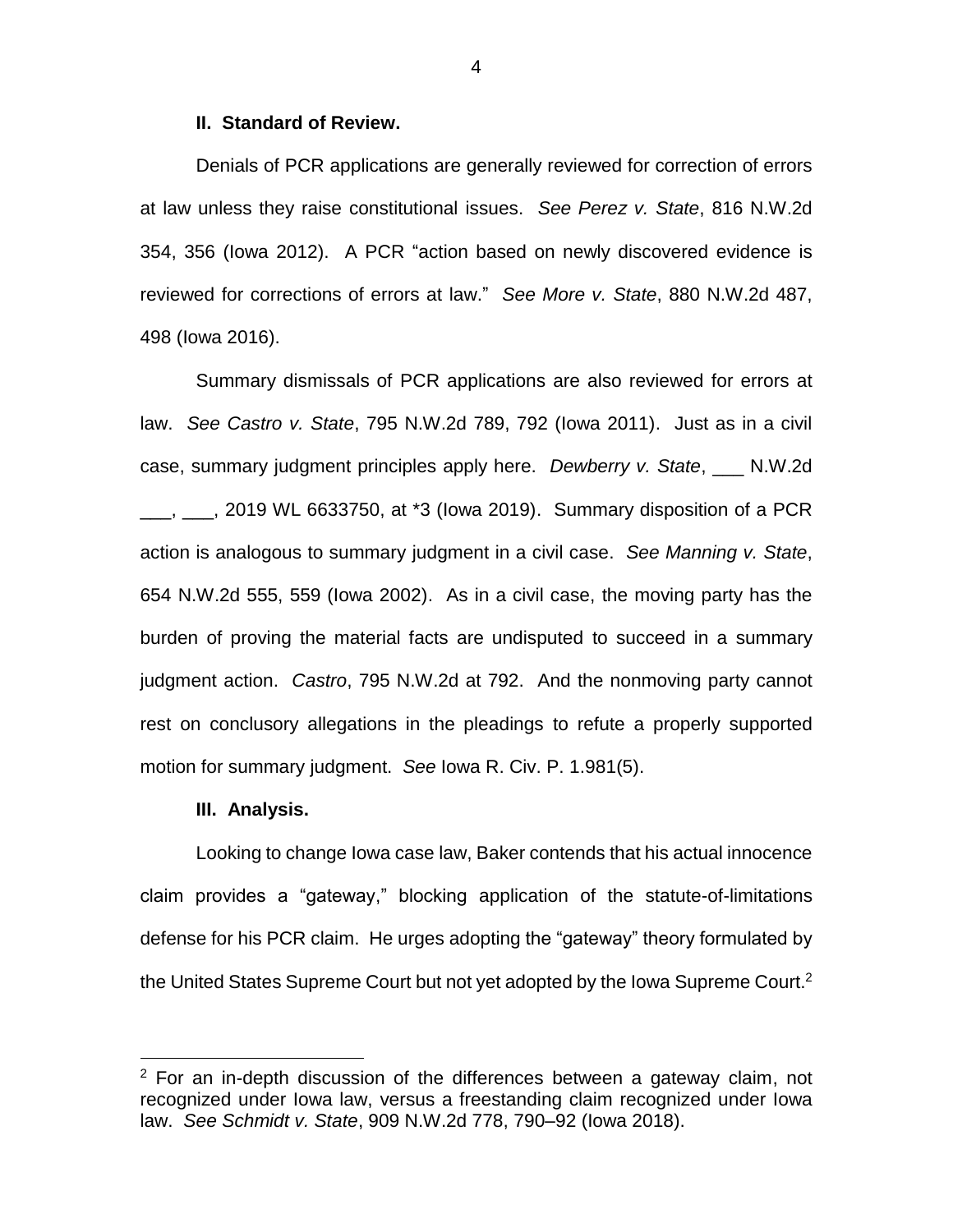#### **II. Standard of Review.**

Denials of PCR applications are generally reviewed for correction of errors at law unless they raise constitutional issues. *See Perez v. State*, 816 N.W.2d 354, 356 (Iowa 2012). A PCR "action based on newly discovered evidence is reviewed for corrections of errors at law." *See More v. State*, 880 N.W.2d 487, 498 (Iowa 2016).

Summary dismissals of PCR applications are also reviewed for errors at law. *See Castro v. State*, 795 N.W.2d 789, 792 (Iowa 2011). Just as in a civil case, summary judgment principles apply here. *Dewberry v. State*, \_\_\_ N.W.2d  $\frac{1}{2}$ ,  $\frac{1}{2}$ , 2019 WL 6633750, at \*3 (lowa 2019). Summary disposition of a PCR action is analogous to summary judgment in a civil case. *See Manning v. State*, 654 N.W.2d 555, 559 (Iowa 2002). As in a civil case, the moving party has the burden of proving the material facts are undisputed to succeed in a summary judgment action. *Castro*, 795 N.W.2d at 792. And the nonmoving party cannot rest on conclusory allegations in the pleadings to refute a properly supported motion for summary judgment. *See* Iowa R. Civ. P. 1.981(5).

#### **III. Analysis.**

 $\overline{a}$ 

Looking to change Iowa case law, Baker contends that his actual innocence claim provides a "gateway," blocking application of the statute-of-limitations defense for his PCR claim. He urges adopting the "gateway" theory formulated by the United States Supreme Court but not yet adopted by the Iowa Supreme Court.<sup>2</sup>

 $2$  For an in-depth discussion of the differences between a gateway claim, not recognized under Iowa law, versus a freestanding claim recognized under Iowa law. *See Schmidt v. State*, 909 N.W.2d 778, 790–92 (Iowa 2018).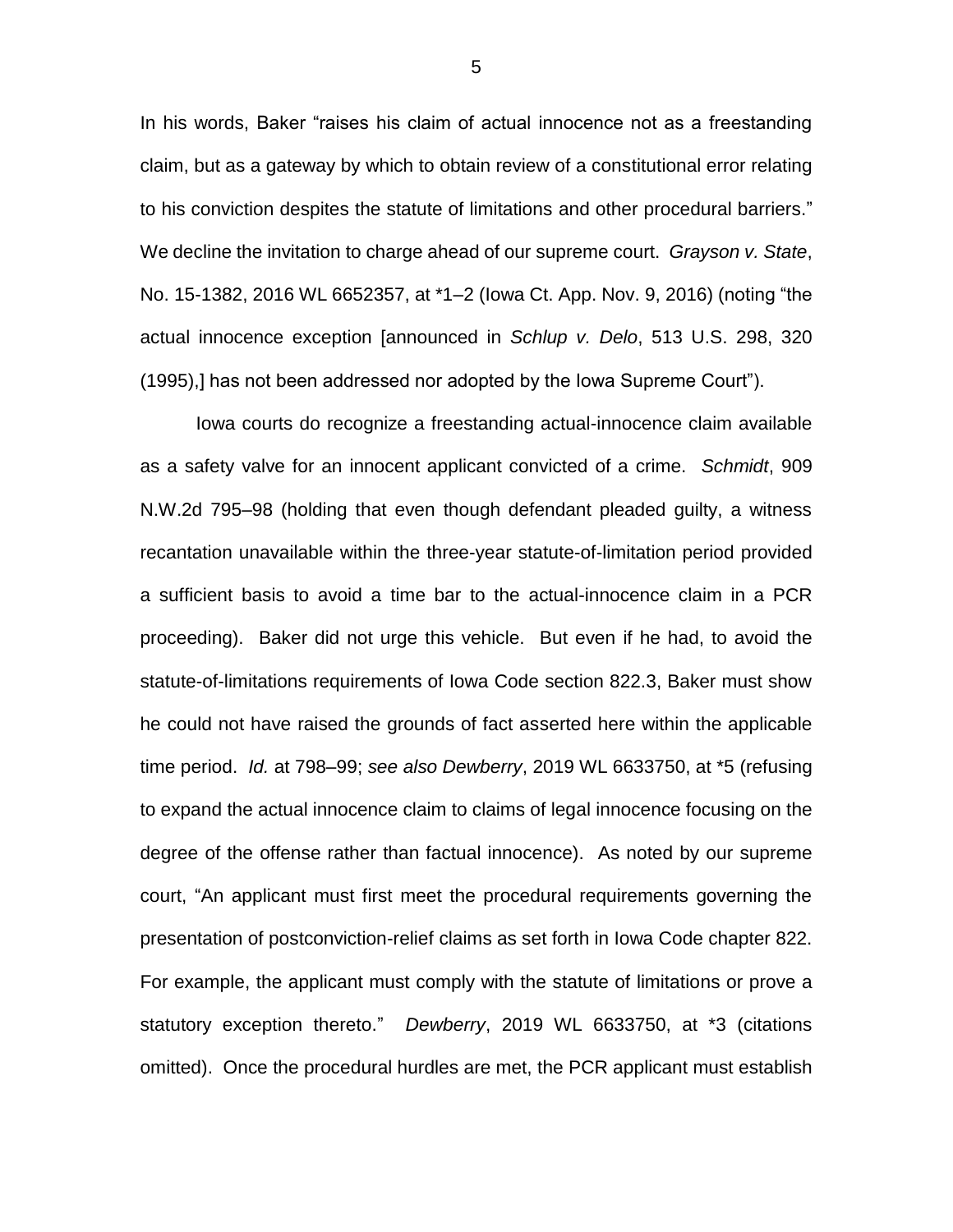In his words, Baker "raises his claim of actual innocence not as a freestanding claim, but as a gateway by which to obtain review of a constitutional error relating to his conviction despites the statute of limitations and other procedural barriers." We decline the invitation to charge ahead of our supreme court. *Grayson v. State*, No. 15-1382, 2016 WL 6652357, at \*1–2 (Iowa Ct. App. Nov. 9, 2016) (noting "the actual innocence exception [announced in *Schlup v. Delo*, 513 U.S. 298, 320 (1995),] has not been addressed nor adopted by the Iowa Supreme Court").

Iowa courts do recognize a freestanding actual-innocence claim available as a safety valve for an innocent applicant convicted of a crime. *Schmidt*, 909 N.W.2d 795–98 (holding that even though defendant pleaded guilty, a witness recantation unavailable within the three-year statute-of-limitation period provided a sufficient basis to avoid a time bar to the actual-innocence claim in a PCR proceeding). Baker did not urge this vehicle. But even if he had, to avoid the statute-of-limitations requirements of Iowa Code section 822.3, Baker must show he could not have raised the grounds of fact asserted here within the applicable time period. *Id.* at 798–99; *see also Dewberry*, 2019 WL 6633750, at \*5 (refusing to expand the actual innocence claim to claims of legal innocence focusing on the degree of the offense rather than factual innocence). As noted by our supreme court, "An applicant must first meet the procedural requirements governing the presentation of postconviction-relief claims as set forth in Iowa Code chapter 822. For example, the applicant must comply with the statute of limitations or prove a statutory exception thereto." *Dewberry*, 2019 WL 6633750, at \*3 (citations omitted). Once the procedural hurdles are met, the PCR applicant must establish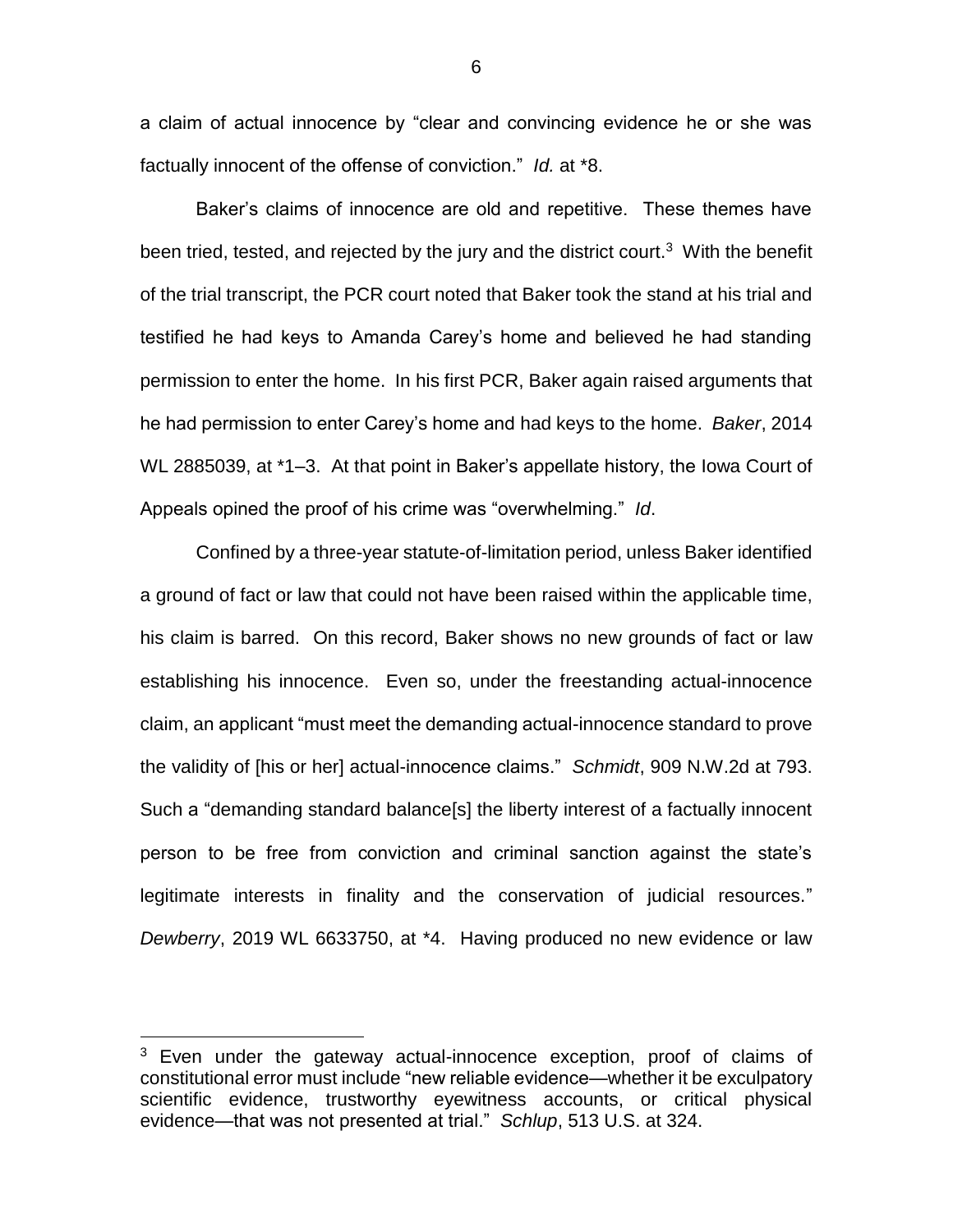a claim of actual innocence by "clear and convincing evidence he or she was factually innocent of the offense of conviction." *Id.* at \*8.

Baker's claims of innocence are old and repetitive. These themes have been tried, tested, and rejected by the jury and the district court.<sup>3</sup> With the benefit of the trial transcript, the PCR court noted that Baker took the stand at his trial and testified he had keys to Amanda Carey's home and believed he had standing permission to enter the home. In his first PCR, Baker again raised arguments that he had permission to enter Carey's home and had keys to the home. *Baker*, 2014 WL 2885039, at \*1–3. At that point in Baker's appellate history, the Iowa Court of Appeals opined the proof of his crime was "overwhelming." *Id*.

Confined by a three-year statute-of-limitation period, unless Baker identified a ground of fact or law that could not have been raised within the applicable time, his claim is barred. On this record, Baker shows no new grounds of fact or law establishing his innocence. Even so, under the freestanding actual-innocence claim, an applicant "must meet the demanding actual-innocence standard to prove the validity of [his or her] actual-innocence claims." *Schmidt*, 909 N.W.2d at 793. Such a "demanding standard balance[s] the liberty interest of a factually innocent person to be free from conviction and criminal sanction against the state's legitimate interests in finality and the conservation of judicial resources." *Dewberry*, 2019 WL 6633750, at \*4. Having produced no new evidence or law

 $\overline{a}$ 

<sup>&</sup>lt;sup>3</sup> Even under the gateway actual-innocence exception, proof of claims of constitutional error must include "new reliable evidence—whether it be exculpatory scientific evidence, trustworthy eyewitness accounts, or critical physical evidence—that was not presented at trial." *Schlup*, 513 U.S. at 324.